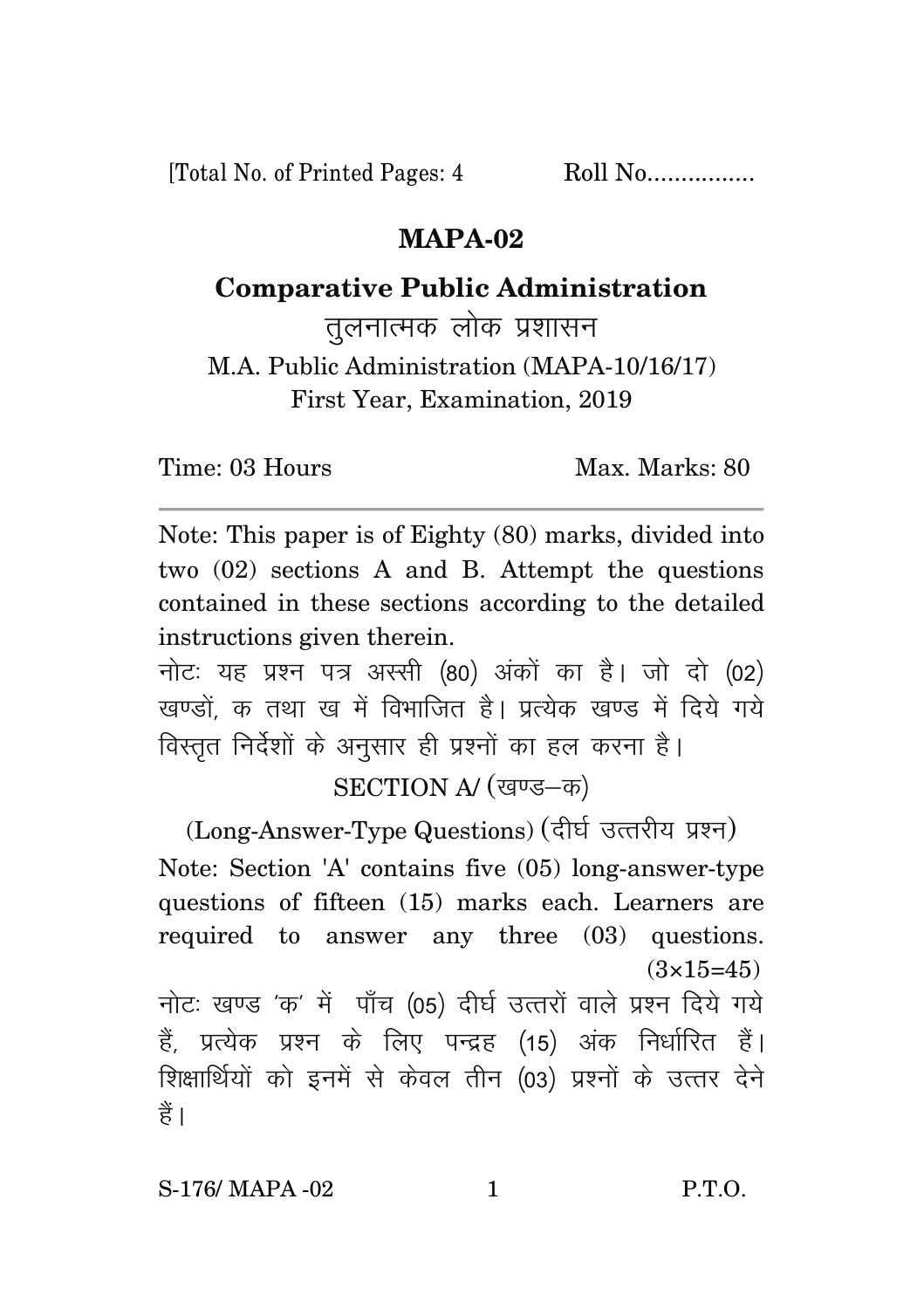[Total No. of Printed Pages: 4 Roll No.................

## **MAPA-02**

## **Comparative Public Administration**

तलनात्मक लोक प्रशासन M.A. Public Administration (MAPA-10/16/17) First Year, Examination, 2019

Time: 03 Hours Max. Marks: 80

Note: This paper is of Eighty (80) marks, divided into two (02) sections A and B. Attempt the questions contained in these sections according to the detailed instructions given therein.

नोट: यह प्रश्न पत्र अस्सी (80) अंकों का है। जो दो (02) खण्डों क तथा ख में विभाजित है। प्रत्येक खण्ड में दिये गये विस्तृत निर्देशों के अनुसार ही प्रश्नों का हल करना है।

SECTION A/ (खण्ड-क)

(Long-Answer-Type Questions) (दीर्घ उत्तरीय प्रश्न) Note: Section 'A' contains five (05) long-answer-type questions of fifteen (15) marks each. Learners are required to answer any three (03) questions.  $(3\times15=45)$ नोट: खण्ड 'क' में पाँच (05) दीर्घ उत्तरों वाले प्रश्न दिये गये हैं, प्रत्येक प्रश्न के लिए पन्द्रह (15) अंक निर्धारित हैं। शिक्षार्थियों को इनमें से केवल तीन (03) प्रश्नों के उत्तर देने हैं।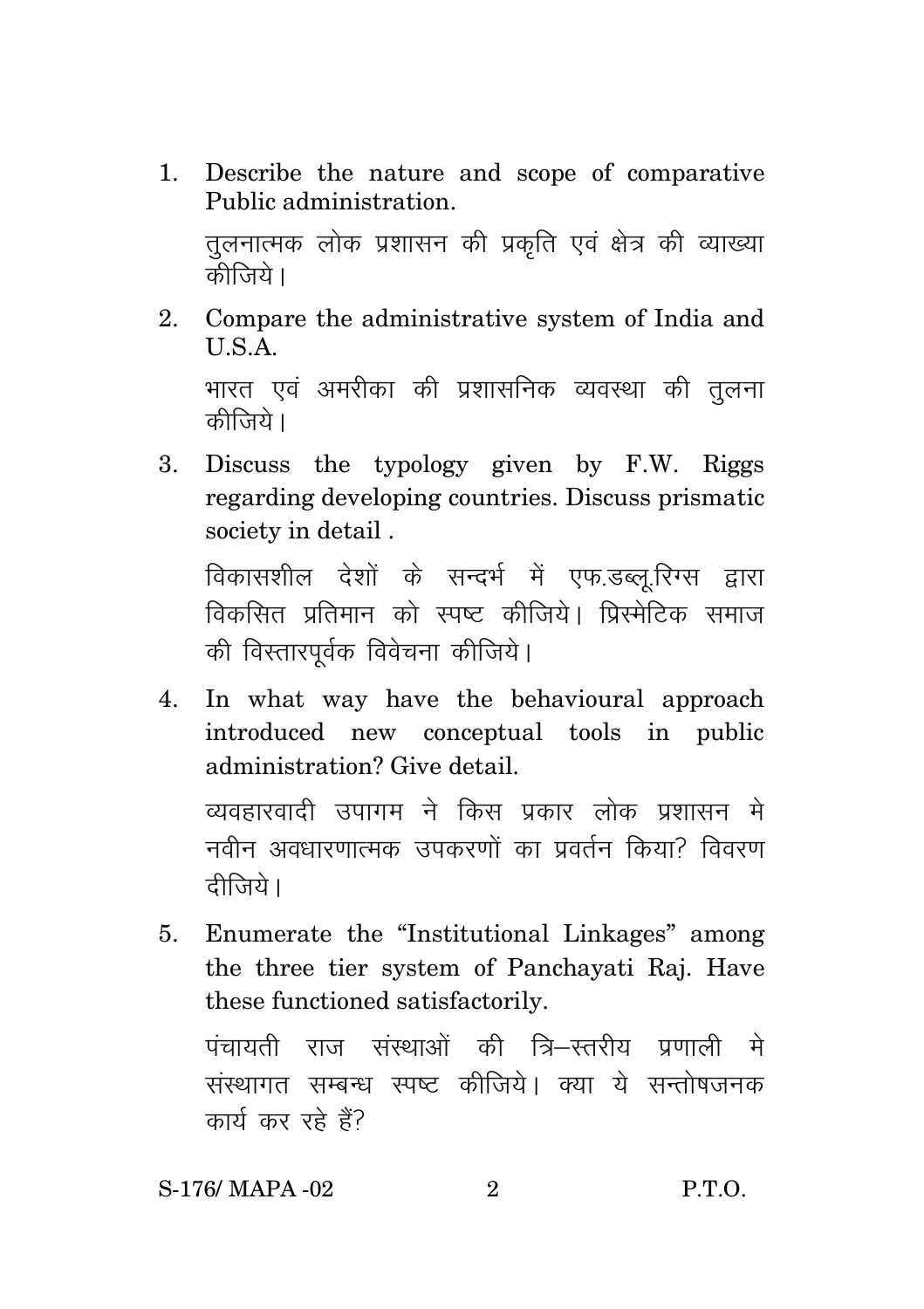Describe the nature and scope of comparative  $1.$ Public administration.

तुलनात्मक लोक प्रशासन की प्रकृति एवं क्षेत्र की व्याख्या कीजिये।

Compare the administrative system of India and  $2^{1}$ U.S.A.

भारत एवं अमरीका की प्रशासनिक व्यवस्था की तुलना कीज़िये।

Discuss the typology given by F.W. Riggs  $\mathbf{R}$ regarding developing countries. Discuss prismatic society in detail.

विकासशील देशों के सन्दर्भ में एफ.डब्लू.रिग्स द्वारा विकसित प्रतिमान को स्पष्ट कीजिये। पिस्मेटिक समाज की विस्तारपर्वक विवेचना कीजिये।

 $4.$ In what way have the behavioural approach introduced new conceptual tools in public administration? Give detail.

व्यवहारवादी उपागम ने किस प्रकार लोक प्रशासन मे नवीन अवधारणात्मक उपकरणों का पवर्तन किया? विवरण टीजिये।

Enumerate the "Institutional Linkages" among  $5<sup>1</sup>$ the three tier system of Panchayati Raj. Have these functioned satisfactorily.

पंचायती राज संस्थाओं की त्रि–स्तरीय प्रणाली मे संस्थागत सम्बन्ध स्पष्ट कीजिये। क्या ये सन्तोषजनक कार्य कर रहे हैं?

 $P.T.O.$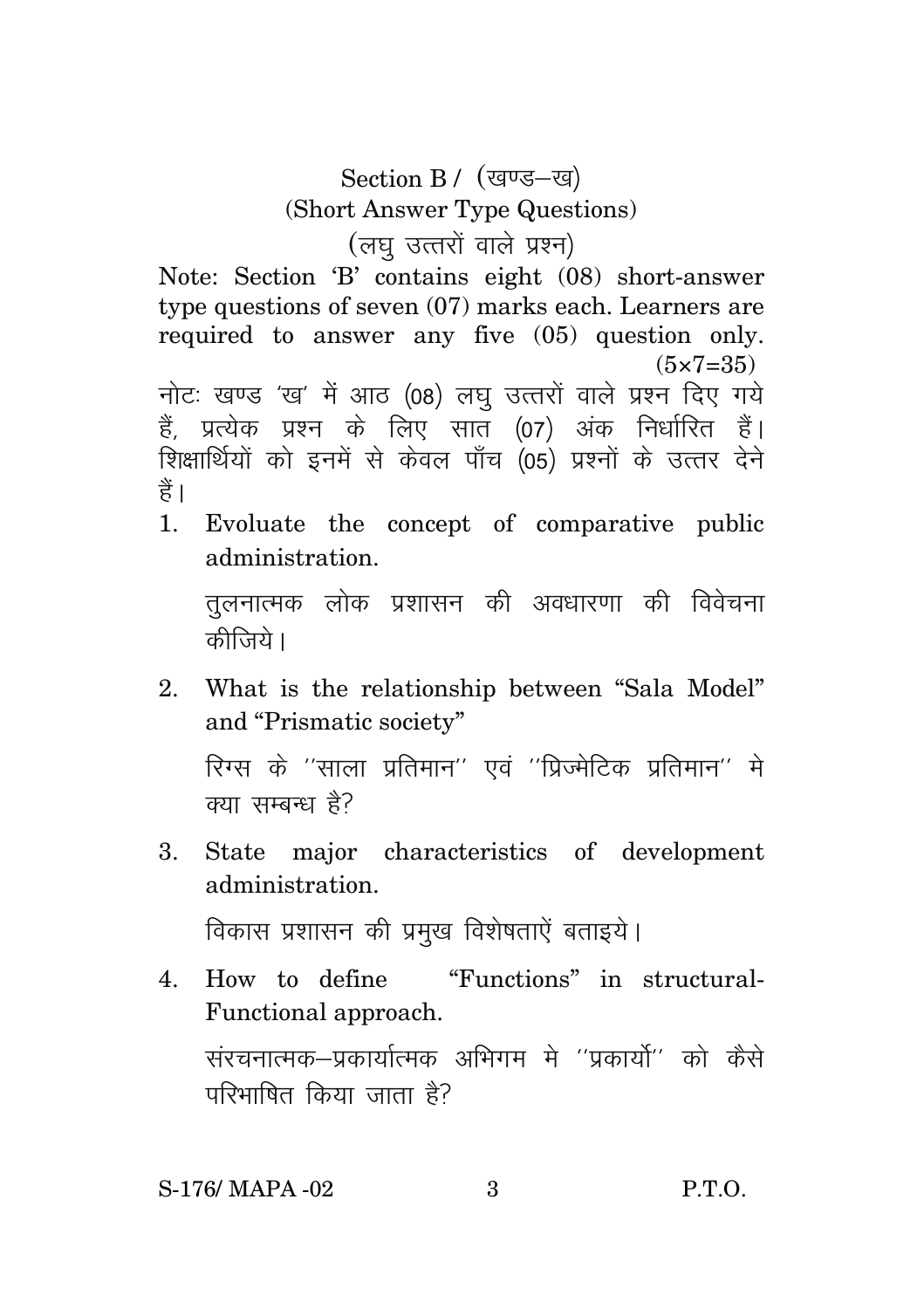## Section B / (खण्ड-ख) (Short Answer Type Questions) (लघु उत्तरों वाले प्रश्न)

Note: Section 'B' contains eight (08) short-answer type questions of seven (07) marks each. Learners are required to answer any five (05) question only.  $(5 \times 7 = 35)$ 

नोटः खण्ड 'ख' में आठ (08) लघु उत्तरों वाले प्रश्न दिए गये हैं, प्रत्येक प्रश्न के लिए सात (07) अंक निर्धारित हैं। शिक्षार्थियों को इनमें से केवल पाँच (05) प्रश्नों के उत्तर देने हैं।

1. Evoluate the concept of comparative public administration.

तूलनात्मक लोक प्रशासन की अवधारणा की विवेचना कीजिये ।

2. What is the relationship between "Sala Model" and "Prismatic society"

रिग्स के ''साला प्रतिमान'' एवं ''प्रिज्मेटिक प्रतिमान'' मे क्या सम्बन्ध है?

3. State major characteristics of development administration.

विकास प्रशासन की प्रमुख विशेषताऐं बताइये।

4. How to define "Functions" in structural-Functional approach.

संरचनात्मक-प्रकार्यात्मक अभिगम मे ''प्रकार्यो'' को कैसे परिभाषित किया जाता है?